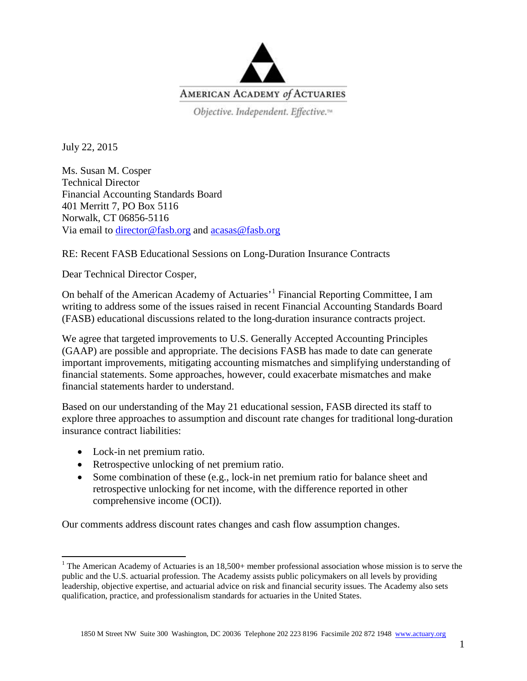

Objective. Independent. Effective.<sup>14</sup>

July 22, 2015

Ms. Susan M. Cosper Technical Director Financial Accounting Standards Board 401 Merritt 7, PO Box 5116 Norwalk, CT 06856-5116 Via email to [director@fasb.org](mailto:director@fasb.org) and [acasas@fasb.org](mailto:acasas@fasb.org)

RE: Recent FASB Educational Sessions on Long-Duration Insurance Contracts

Dear Technical Director Cosper,

On behalf of the American Academy of Actuaries'[1](#page-0-0) Financial Reporting Committee, I am writing to address some of the issues raised in recent Financial Accounting Standards Board (FASB) educational discussions related to the long-duration insurance contracts project.

We agree that targeted improvements to U.S. Generally Accepted Accounting Principles (GAAP) are possible and appropriate. The decisions FASB has made to date can generate important improvements, mitigating accounting mismatches and simplifying understanding of financial statements. Some approaches, however, could exacerbate mismatches and make financial statements harder to understand.

Based on our understanding of the May 21 educational session, FASB directed its staff to explore three approaches to assumption and discount rate changes for traditional long-duration insurance contract liabilities:

- Lock-in net premium ratio.
- Retrospective unlocking of net premium ratio.
- Some combination of these (e.g., lock-in net premium ratio for balance sheet and retrospective unlocking for net income, with the difference reported in other comprehensive income (OCI)).

Our comments address discount rates changes and cash flow assumption changes.

<span id="page-0-0"></span><sup>&</sup>lt;sup>1</sup> The American Academy of Actuaries is an 18,500+ member professional association whose mission is to serve the public and the U.S. actuarial profession. The Academy assists public policymakers on all levels by providing leadership, objective expertise, and actuarial advice on risk and financial security issues. The Academy also sets qualification, practice, and professionalism standards for actuaries in the United States.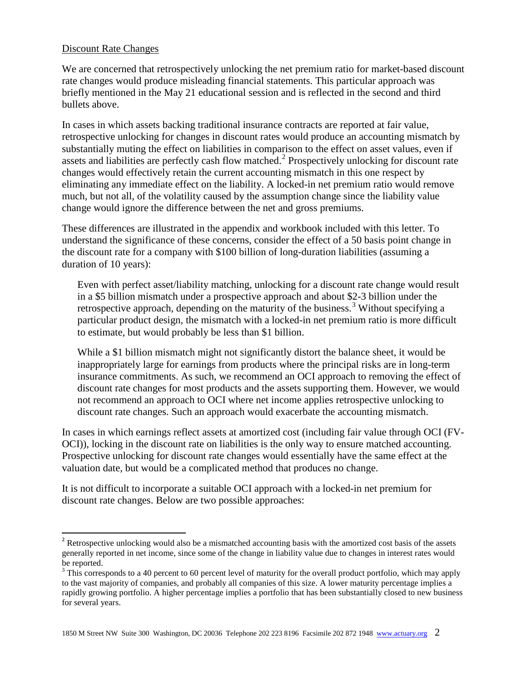## Discount Rate Changes

We are concerned that retrospectively unlocking the net premium ratio for market-based discount rate changes would produce misleading financial statements. This particular approach was briefly mentioned in the May 21 educational session and is reflected in the second and third bullets above.

In cases in which assets backing traditional insurance contracts are reported at fair value, retrospective unlocking for changes in discount rates would produce an accounting mismatch by substantially muting the effect on liabilities in comparison to the effect on asset values, even if assets and liabilities are perfectly cash flow matched.<sup>[2](#page-1-0)</sup> Prospectively unlocking for discount rate changes would effectively retain the current accounting mismatch in this one respect by eliminating any immediate effect on the liability. A locked-in net premium ratio would remove much, but not all, of the volatility caused by the assumption change since the liability value change would ignore the difference between the net and gross premiums.

These differences are illustrated in the appendix and workbook included with this letter. To understand the significance of these concerns, consider the effect of a 50 basis point change in the discount rate for a company with \$100 billion of long-duration liabilities (assuming a duration of 10 years):

Even with perfect asset/liability matching, unlocking for a discount rate change would result in a \$5 billion mismatch under a prospective approach and about \$2-3 billion under the retrospective approach, depending on the maturity of the business.<sup>[3](#page-1-1)</sup> Without specifying a particular product design, the mismatch with a locked-in net premium ratio is more difficult to estimate, but would probably be less than \$1 billion.

While a \$1 billion mismatch might not significantly distort the balance sheet, it would be inappropriately large for earnings from products where the principal risks are in long-term insurance commitments. As such, we recommend an OCI approach to removing the effect of discount rate changes for most products and the assets supporting them. However, we would not recommend an approach to OCI where net income applies retrospective unlocking to discount rate changes. Such an approach would exacerbate the accounting mismatch.

In cases in which earnings reflect assets at amortized cost (including fair value through OCI (FV-OCI)), locking in the discount rate on liabilities is the only way to ensure matched accounting. Prospective unlocking for discount rate changes would essentially have the same effect at the valuation date, but would be a complicated method that produces no change.

It is not difficult to incorporate a suitable OCI approach with a locked-in net premium for discount rate changes. Below are two possible approaches:

<span id="page-1-0"></span><sup>&</sup>lt;sup>2</sup> Retrospective unlocking would also be a mismatched accounting basis with the amortized cost basis of the assets generally reported in net income, since some of the change in liability value due to changes in interest rates would be reported.

<span id="page-1-1"></span> $3$  This corresponds to a 40 percent to 60 percent level of maturity for the overall product portfolio, which may apply to the vast majority of companies, and probably all companies of this size. A lower maturity percentage implies a rapidly growing portfolio. A higher percentage implies a portfolio that has been substantially closed to new business for several years.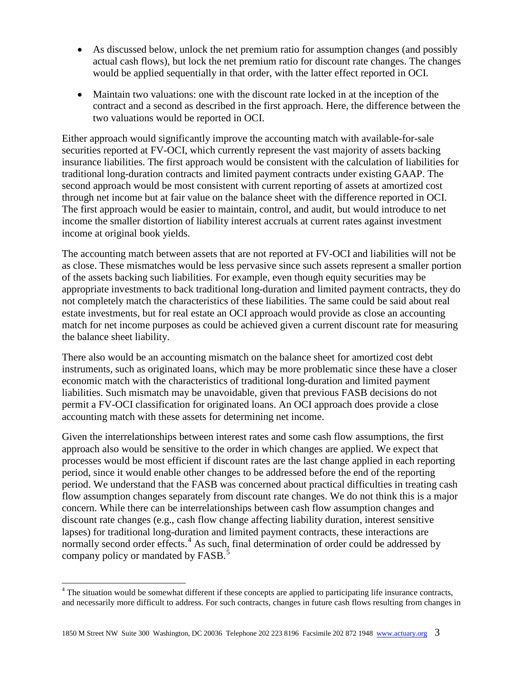- As discussed below, unlock the net premium ratio for assumption changes (and possibly actual cash flows), but lock the net premium ratio for discount rate changes. The changes would be applied sequentially in that order, with the latter effect reported in OCI.
- Maintain two valuations: one with the discount rate locked in at the inception of the contract and a second as described in the first approach. Here, the difference between the two valuations would be reported in OCI.

Either approach would significantly improve the accounting match with available-for-sale securities reported at FV-OCI, which currently represent the vast majority of assets backing insurance liabilities. The first approach would be consistent with the calculation of liabilities for traditional long-duration contracts and limited payment contracts under existing GAAP. The second approach would be most consistent with current reporting of assets at amortized cost through net income but at fair value on the balance sheet with the difference reported in OCI. The first approach would be easier to maintain, control, and audit, but would introduce to net income the smaller distortion of liability interest accruals at current rates against investment income at original book yields.

The accounting match between assets that are not reported at FV-OCI and liabilities will not be as close. These mismatches would be less pervasive since such assets represent a smaller portion of the assets backing such liabilities. For example, even though equity securities may be appropriate investments to back traditional long-duration and limited payment contracts, they do not completely match the characteristics of these liabilities. The same could be said about real estate investments, but for real estate an OCI approach would provide as close an accounting match for net income purposes as could be achieved given a current discount rate for measuring the balance sheet liability.

There also would be an accounting mismatch on the balance sheet for amortized cost debt instruments, such as originated loans, which may be more problematic since these have a closer economic match with the characteristics of traditional long-duration and limited payment liabilities. Such mismatch may be unavoidable, given that previous FASB decisions do not permit a FV-OCI classification for originated loans. An OCI approach does provide a close accounting match with these assets for determining net income.

<span id="page-2-1"></span>Given the interrelationships between interest rates and some cash flow assumptions, the first approach also would be sensitive to the order in which changes are applied. We expect that processes would be most efficient if discount rates are the last change applied in each reporting period, since it would enable other changes to be addressed before the end of the reporting period. We understand that the FASB was concerned about practical difficulties in treating cash flow assumption changes separately from discount rate changes. We do not think this is a major concern. While there can be interrelationships between cash flow assumption changes and discount rate changes (e.g., cash flow change affecting liability duration, interest sensitive lapses) for traditional long-duration and limited payment contracts, these interactions are normally second order effects.<sup>[4](#page-2-0)</sup> As such, final determination of order could be addressed by company policy or mandated by FASB.<sup>[5](#page-2-1)</sup>

<span id="page-2-0"></span><sup>&</sup>lt;sup>4</sup> The situation would be somewhat different if these concepts are applied to participating life insurance contracts, and necessarily more difficult to address. For such contracts, changes in future cash flows resulting from changes in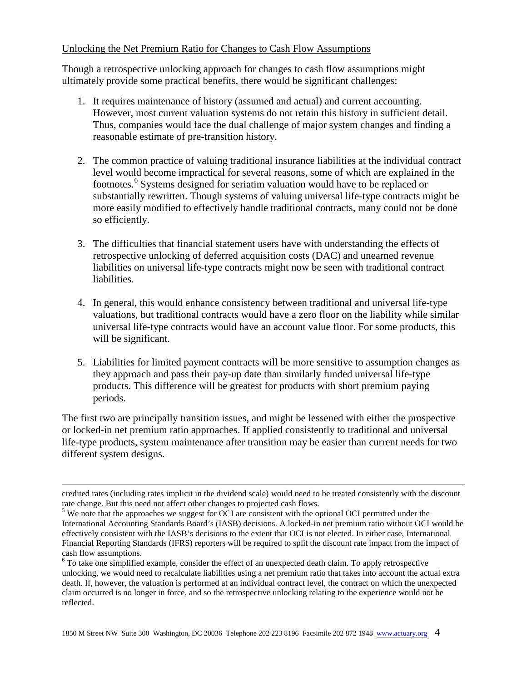## Unlocking the Net Premium Ratio for Changes to Cash Flow Assumptions

Though a retrospective unlocking approach for changes to cash flow assumptions might ultimately provide some practical benefits, there would be significant challenges:

- 1. It requires maintenance of history (assumed and actual) and current accounting. However, most current valuation systems do not retain this history in sufficient detail. Thus, companies would face the dual challenge of major system changes and finding a reasonable estimate of pre-transition history.
- 2. The common practice of valuing traditional insurance liabilities at the individual contract level would become impractical for several reasons, some of which are explained in the footnotes. [6](#page-3-0) Systems designed for seriatim valuation would have to be replaced or substantially rewritten. Though systems of valuing universal life-type contracts might be more easily modified to effectively handle traditional contracts, many could not be done so efficiently.
- 3. The difficulties that financial statement users have with understanding the effects of retrospective unlocking of deferred acquisition costs (DAC) and unearned revenue liabilities on universal life-type contracts might now be seen with traditional contract liabilities.
- 4. In general, this would enhance consistency between traditional and universal life-type valuations, but traditional contracts would have a zero floor on the liability while similar universal life-type contracts would have an account value floor. For some products, this will be significant.
- 5. Liabilities for limited payment contracts will be more sensitive to assumption changes as they approach and pass their pay-up date than similarly funded universal life-type products. This difference will be greatest for products with short premium paying periods.

The first two are principally transition issues, and might be lessened with either the prospective or locked-in net premium ratio approaches. If applied consistently to traditional and universal life-type products, system maintenance after transition may be easier than current needs for two different system designs.

 $\overline{\phantom{a}}$ 

credited rates (including rates implicit in the dividend scale) would need to be treated consistently with the discount

 $5$  We note that the approaches we suggest for OCI are consistent with the optional OCI permitted under the International Accounting Standards Board's (IASB) decisions. A locked-in net premium ratio without OCI would be effectively consistent with the IASB's decisions to the extent that OCI is not elected. In either case, International Financial Reporting Standards (IFRS) reporters will be required to split the discount rate impact from the impact of cash flow assumptions.

<span id="page-3-0"></span><sup>&</sup>lt;sup>6</sup> To take one simplified example, consider the effect of an unexpected death claim. To apply retrospective unlocking, we would need to recalculate liabilities using a net premium ratio that takes into account the actual extra death. If, however, the valuation is performed at an individual contract level, the contract on which the unexpected claim occurred is no longer in force, and so the retrospective unlocking relating to the experience would not be reflected.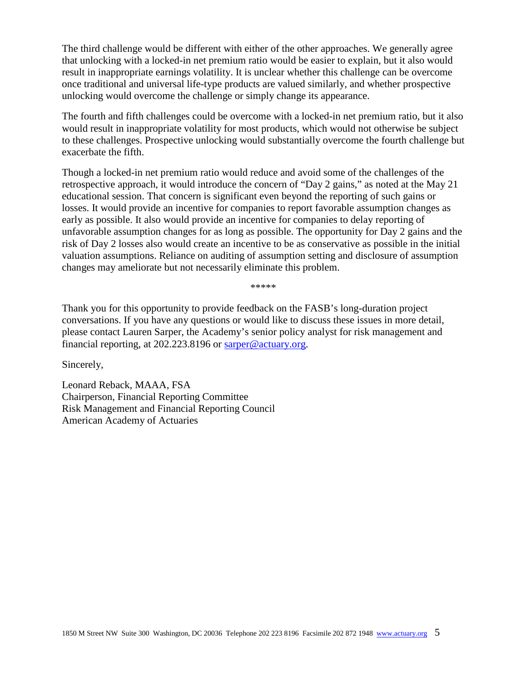The third challenge would be different with either of the other approaches. We generally agree that unlocking with a locked-in net premium ratio would be easier to explain, but it also would result in inappropriate earnings volatility. It is unclear whether this challenge can be overcome once traditional and universal life-type products are valued similarly, and whether prospective unlocking would overcome the challenge or simply change its appearance.

The fourth and fifth challenges could be overcome with a locked-in net premium ratio, but it also would result in inappropriate volatility for most products, which would not otherwise be subject to these challenges. Prospective unlocking would substantially overcome the fourth challenge but exacerbate the fifth.

Though a locked-in net premium ratio would reduce and avoid some of the challenges of the retrospective approach, it would introduce the concern of "Day 2 gains," as noted at the May 21 educational session. That concern is significant even beyond the reporting of such gains or losses. It would provide an incentive for companies to report favorable assumption changes as early as possible. It also would provide an incentive for companies to delay reporting of unfavorable assumption changes for as long as possible. The opportunity for Day 2 gains and the risk of Day 2 losses also would create an incentive to be as conservative as possible in the initial valuation assumptions. Reliance on auditing of assumption setting and disclosure of assumption changes may ameliorate but not necessarily eliminate this problem.

\*\*\*\*\*

Thank you for this opportunity to provide feedback on the FASB's long-duration project conversations. If you have any questions or would like to discuss these issues in more detail, please contact Lauren Sarper, the Academy's senior policy analyst for risk management and financial reporting, at 202.223.8196 or [sarper@actuary.org.](mailto:sarper@actuary.org)

Sincerely,

Leonard Reback, MAAA, FSA Chairperson, Financial Reporting Committee Risk Management and Financial Reporting Council American Academy of Actuaries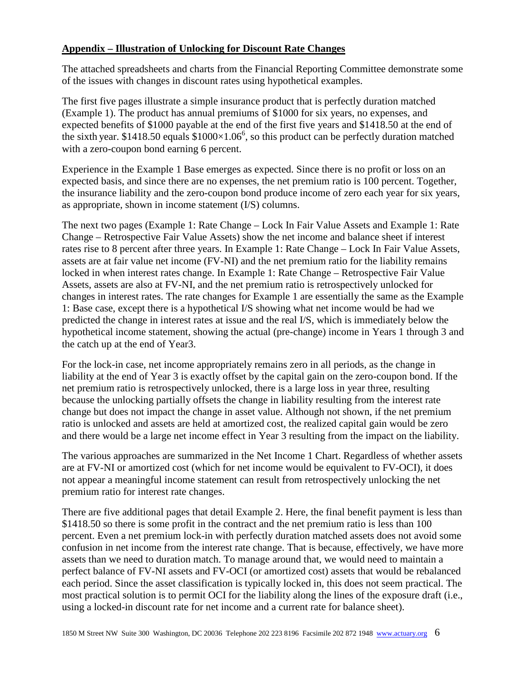# **Appendix – Illustration of Unlocking for Discount Rate Changes**

The attached spreadsheets and charts from the Financial Reporting Committee demonstrate some of the issues with changes in discount rates using hypothetical examples.

The first five pages illustrate a simple insurance product that is perfectly duration matched (Example 1). The product has annual premiums of \$1000 for six years, no expenses, and expected benefits of \$1000 payable at the end of the first five years and \$1418.50 at the end of the sixth year. \$1418.50 equals  $$1000\times1.06^6$ , so this product can be perfectly duration matched with a zero-coupon bond earning 6 percent.

Experience in the Example 1 Base emerges as expected. Since there is no profit or loss on an expected basis, and since there are no expenses, the net premium ratio is 100 percent. Together, the insurance liability and the zero-coupon bond produce income of zero each year for six years, as appropriate, shown in income statement (I/S) columns.

The next two pages (Example 1: Rate Change – Lock In Fair Value Assets and Example 1: Rate Change – Retrospective Fair Value Assets) show the net income and balance sheet if interest rates rise to 8 percent after three years. In Example 1: Rate Change – Lock In Fair Value Assets, assets are at fair value net income (FV-NI) and the net premium ratio for the liability remains locked in when interest rates change. In Example 1: Rate Change – Retrospective Fair Value Assets, assets are also at FV-NI, and the net premium ratio is retrospectively unlocked for changes in interest rates. The rate changes for Example 1 are essentially the same as the Example 1: Base case, except there is a hypothetical I/S showing what net income would be had we predicted the change in interest rates at issue and the real I/S, which is immediately below the hypothetical income statement, showing the actual (pre-change) income in Years 1 through 3 and the catch up at the end of Year3.

For the lock-in case, net income appropriately remains zero in all periods, as the change in liability at the end of Year 3 is exactly offset by the capital gain on the zero-coupon bond. If the net premium ratio is retrospectively unlocked, there is a large loss in year three, resulting because the unlocking partially offsets the change in liability resulting from the interest rate change but does not impact the change in asset value. Although not shown, if the net premium ratio is unlocked and assets are held at amortized cost, the realized capital gain would be zero and there would be a large net income effect in Year 3 resulting from the impact on the liability.

The various approaches are summarized in the Net Income 1 Chart. Regardless of whether assets are at FV-NI or amortized cost (which for net income would be equivalent to FV-OCI), it does not appear a meaningful income statement can result from retrospectively unlocking the net premium ratio for interest rate changes.

There are five additional pages that detail Example 2. Here, the final benefit payment is less than \$1418.50 so there is some profit in the contract and the net premium ratio is less than 100 percent. Even a net premium lock-in with perfectly duration matched assets does not avoid some confusion in net income from the interest rate change. That is because, effectively, we have more assets than we need to duration match. To manage around that, we would need to maintain a perfect balance of FV-NI assets and FV-OCI (or amortized cost) assets that would be rebalanced each period. Since the asset classification is typically locked in, this does not seem practical. The most practical solution is to permit OCI for the liability along the lines of the exposure draft (i.e., using a locked-in discount rate for net income and a current rate for balance sheet).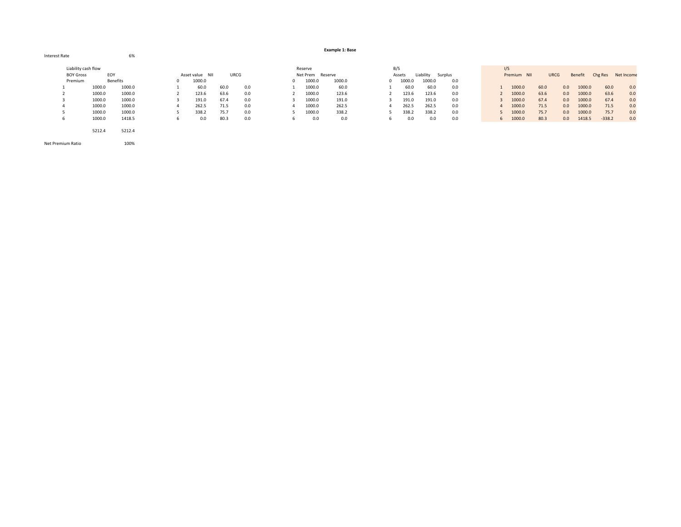#### Interest Rate 6%6%

**Example 1: Base**

|                  | Liability cash flow |                 |                 |      |      | Reserve          |        | B/S    |           |         | I/S         |      |             |         |          |            |
|------------------|---------------------|-----------------|-----------------|------|------|------------------|--------|--------|-----------|---------|-------------|------|-------------|---------|----------|------------|
| <b>BOY Gross</b> | EOY                 |                 | Asset value NII |      | URCG | Net Prem Reserve |        | Assets | Liability | Surplus | Premium NII |      | <b>URCG</b> | Benefit | Chg Res  | Net Income |
| Premium          |                     | <b>Benefits</b> | 1000.0          |      |      | 1000.0           | 1000.0 | 1000.0 | 1000.0    | 0.0     |             |      |             |         |          |            |
|                  | 1000.0              | 1000.0          | 60.0            | 60.0 | 0.0  | 1000.0           | 60.0   | 60.0   | 60.0      | 0.0     | 1000.0      | 60.0 | 0.0         | 1000.0  | 60.0     | 0.0        |
|                  | 1000.0              | 1000.0          | 123.6           | 63.6 | 0.0  | 1000.0           | 123.6  | 123.6  | 123.6     | 0.0     | 1000.0      | 63.6 | 0.0         | 1000.0  | 63.6     | 0.0        |
|                  | 1000.0              | 1000.0          | 191.0           | 67.4 | 0.0  | 1000.0           | 191.0  | 191.0  | 191.0     | 0.0     | 1000.0      | 67.4 | 0.0         | 1000.0  | 67.4     | 0.0        |
|                  | 1000.0              | 1000.0          | 262.5           | 71.5 | 0.0  | 1000.0           | 262.5  | 262.5  | 262.5     | 0.0     | 1000.0      | 71.5 | 0.0         | 1000.0  | 71.5     | 0.0        |
|                  | 1000.0              | 1000.0          | 338.2           | 75.7 | 0.0  | 1000.0           | 338.2  | 338.2  | 338.2     | 0.0     | 1000.0      | 75.7 | 0.0         | 1000.0  | 75.7     | 0.0        |
|                  | 1000.0              | 1418.5          | 0.0             | 80.3 | 0.0  | 0.0              | 0.0    | 0.0    | 0.0       | 0.0     | 1000.0      | 80.3 | 0.0         | 1418.5  | $-338.2$ | 0.0        |
|                  |                     |                 |                 |      |      |                  |        |        |           |         |             |      |             |         |          |            |
|                  | 5212.4              | 5212.4          |                 |      |      |                  |        |        |           |         |             |      |             |         |          |            |

Net Premium Ratio 100%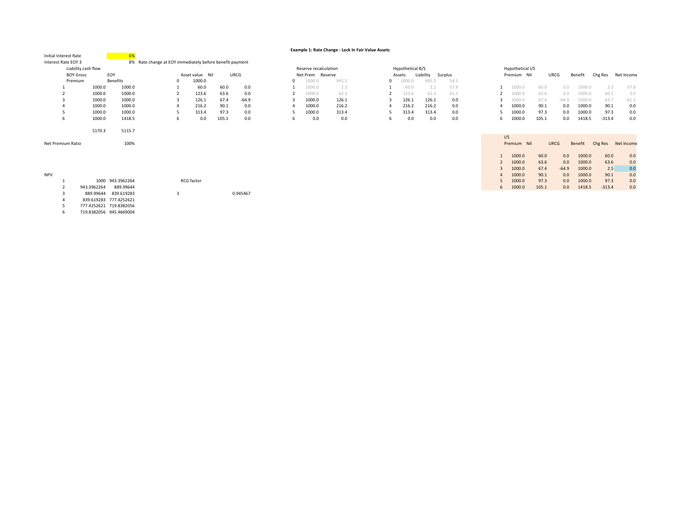### **Example 1: Rate Change ‐ Lock In Fair Value Assets**

| Initial Interest Rate |                     |                        |                                                          |                 |       |          |   |        |                       |       |   |                  |           |         |   |                  |             |         |         |          |            |
|-----------------------|---------------------|------------------------|----------------------------------------------------------|-----------------|-------|----------|---|--------|-----------------------|-------|---|------------------|-----------|---------|---|------------------|-------------|---------|---------|----------|------------|
| Interest Rate EOY 3   |                     |                        | 8% Rate change at EOY immediately before benefit payment |                 |       |          |   |        |                       |       |   |                  |           |         |   |                  |             |         |         |          |            |
|                       | Liability cash flow |                        |                                                          |                 |       |          |   |        | Reserve recalculation |       |   | Hypothetical B/S |           |         |   | Hypothetical I/S |             |         |         |          |            |
|                       | <b>BOY Gross</b>    | EOY                    |                                                          | Asset value NII |       | URCG     |   |        | Net Prem Reserve      |       |   | Assets           | Liability | Surplus |   | Premium NII      | URCG        |         | Benefit | Chg Res  | Net Income |
| Premium               |                     | <b>Benefits</b>        |                                                          | 1000.0          |       |          |   | 1000.0 |                       | 945.5 |   | 1000.0           | 945.5     | 54.5    |   |                  |             |         |         |          |            |
|                       | 1000.0              | 1000.0                 |                                                          | 60.0            | 60.0  | 0.0      |   | 1000.0 |                       | 2.2   |   | 60.0             | 2.2       | 57.8    |   | 1000.0           | 60.0        | 0.0     | 1000.0  | 2.2      | 57.8       |
|                       | 1000.0              | 1000.0                 |                                                          | 123.6           | 63.6  | 0.0      |   | 1000.0 |                       | 62.3  |   | 123.6            | 62.3      | 61.3    |   | 1000.0           | 63.6        | 0.0     | 1000.0  | 60.1     | 3.5        |
| 3                     | 1000.0              | 1000.0                 |                                                          | 126.1           | 67.4  | $-64.9$  |   | 1000.0 |                       | 126.1 |   | 126.1            | 126.1     | 0.0     |   | 1000.0           | 67.4        | $-64.9$ | 1000.0  | 63.7     | $-61.3$    |
|                       | 1000.0              | 1000.0                 |                                                          | 216.2           | 90.1  | 0.0      |   | 1000.0 |                       | 216.2 |   | 216.2            | 216.2     | 0.0     |   | 1000.0           | 90.1        | 0.0     | 1000.0  | 90.1     | 0.0        |
|                       | 1000.0              | 1000.0                 |                                                          | 313.4           | 97.3  | 0.0      |   | 1000.0 |                       | 313.4 |   | 313.4            | 313.4     | 0.0     |   | 1000.0           | 97.3        | 0.0     | 1000.0  | 97.3     | 0.0        |
| 6                     | 1000.0              | 1418.5                 |                                                          | 0.0             | 105.1 | 0.0      | h | 0.0    |                       | 0.0   | 6 | 0.0              | 0.0       | 0.0     | 6 | 1000.0           | 105.1       | 0.0     | 1418.5  | $-313.4$ | 0.0        |
|                       |                     |                        |                                                          |                 |       |          |   |        |                       |       |   |                  |           |         |   |                  |             |         |         |          |            |
|                       | 5170.3              | 5115.7                 |                                                          |                 |       |          |   |        |                       |       |   |                  |           |         |   |                  |             |         |         |          |            |
|                       |                     |                        |                                                          |                 |       |          |   |        |                       |       |   |                  |           |         |   | I/S              |             |         |         |          |            |
| Net Premium Ratio     |                     | 100%                   |                                                          |                 |       |          |   |        |                       |       |   |                  |           |         |   | Premium NII      | <b>URCG</b> |         | Benefit | Chg Res  | Net Income |
|                       |                     |                        |                                                          |                 |       |          |   |        |                       |       |   |                  |           |         |   |                  |             |         |         |          |            |
|                       |                     |                        |                                                          |                 |       |          |   |        |                       |       |   |                  |           |         |   | 1000.0           | 60.0        | 0.0     | 1000.0  | 60.0     | 0.0        |
|                       |                     |                        |                                                          |                 |       |          |   |        |                       |       |   |                  |           |         |   | 1000.0           | 63.6        | 0.0     | 1000.0  | 63.6     | 0.0        |
|                       |                     |                        |                                                          |                 |       |          |   |        |                       |       |   |                  |           |         |   | 1000.0           | 67.4        | $-64.9$ | 1000.0  | 2.5      | 0.0        |
| <b>NPV</b>            |                     |                        |                                                          |                 |       |          |   |        |                       |       |   |                  |           |         |   | 1000.0           | 90.1        | 0.0     | 1000.0  | 90.1     | 0.0        |
|                       | 1000                | 943.3962264            |                                                          | RCG factor      |       |          |   |        |                       |       |   |                  |           |         |   | 1000.0           | 97.3        | 0.0     | 1000.0  | 97.3     | 0.0        |
|                       | 943.3962264         | 889.99644              |                                                          |                 |       |          |   |        |                       |       |   |                  |           |         | 6 | 1000.0           | 105.1       | 0.0     | 1418.5  | $-313.4$ | 0.0        |
|                       | 889.99644           | 839.619283             |                                                          |                 |       | 0.945467 |   |        |                       |       |   |                  |           |         |   |                  |             |         |         |          |            |
|                       |                     | 839.619283 777.4252621 |                                                          |                 |       |          |   |        |                       |       |   |                  |           |         |   |                  |             |         |         |          |            |

5 777.4252621 719.8382056 6 719.8382056 945.4669004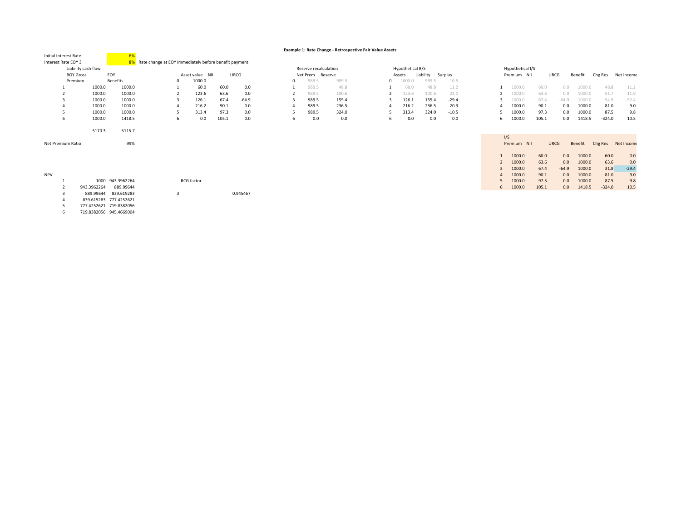### **Example 1: Rate Change ‐ Retrospective Fair Value Assets**

| Initial Interest Rate |                     |                  |                                                          |   |                 |       |          |                       |         |       |   |                  |           |         |     |                  |       |             |         |          |            |
|-----------------------|---------------------|------------------|----------------------------------------------------------|---|-----------------|-------|----------|-----------------------|---------|-------|---|------------------|-----------|---------|-----|------------------|-------|-------------|---------|----------|------------|
| Interest Rate EOY 3   |                     |                  | 8% Rate change at EOY immediately before benefit payment |   |                 |       |          |                       |         |       |   |                  |           |         |     |                  |       |             |         |          |            |
|                       | Liability cash flow |                  |                                                          |   |                 |       |          | Reserve recalculation |         |       |   | Hypothetical B/S |           |         |     | Hypothetical I/S |       |             |         |          |            |
| <b>BOY Gross</b>      | EOY                 |                  |                                                          |   | Asset value NII |       | URCG     | Net Prem              | Reserve |       |   | Assets           | Liability | Surplus |     | Premium NII      |       | URCG        | Benefit | Chg Res  | Net Income |
| Premium               |                     | <b>Benefits</b>  |                                                          | 0 | 1000.0          |       |          | 989.5                 |         | 989.5 |   | 1000.0           | 989.5     | 10.5    |     |                  |       |             |         |          |            |
|                       | 1000.0              | 1000.0           |                                                          |   | 60.0            | 60.0  | 0.0      | 989.5                 |         | 48.8  |   | 60.0             | 48.8      | 11.2    |     | 1000.0           | 60.0  | 0.0         | 1000.0  | 48.8     | 11.2       |
|                       | 1000.0              | 1000.0           |                                                          |   | 123.6           | 63.6  | 0.0      | 989.5                 |         | 100.6 |   | 123.6            | 100.6     | 23.0    |     | 1000.0           | 63.6  | 0.0         | 1000.0  | 51.7     | 11.9       |
|                       | 1000.0              | 1000.0           |                                                          |   | 126.1           | 67.4  | $-64.9$  | 989.5                 |         | 155.4 |   | 126.1            | 155.4     | $-29.4$ |     | 1000.0           | 67.4  | $-64.9$     | 1000.0  | 54.9     | $-52.4$    |
|                       | 1000.0              | 1000.0           |                                                          |   | 216.2           | 90.1  | 0.0      | 989.5                 |         | 236.5 |   | 216.2            | 236.5     | $-20.3$ |     | 1000.0           | 90.1  | 0.0         | 1000.0  | 81.0     | 9.0        |
|                       | 1000.0              | 1000.0           |                                                          |   | 313.4           | 97.3  | 0.0      | 989.5                 |         | 324.0 | ъ | 313.4            | 324.0     | $-10.5$ |     | 1000.0           | 97.3  | 0.0         | 1000.0  | 87.5     | 9.8        |
| 6                     | 1000.0              | 1418.5           |                                                          |   | 0.0             | 105.1 | 0.0      | 0.0                   |         | 0.0   |   | 0.0              | 0.0       | 0.0     | 6   | 1000.0           | 105.1 | 0.0         | 1418.5  | $-324.0$ | 10.5       |
|                       |                     |                  |                                                          |   |                 |       |          |                       |         |       |   |                  |           |         |     |                  |       |             |         |          |            |
|                       | 5170.3              | 5115.7           |                                                          |   |                 |       |          |                       |         |       |   |                  |           |         |     |                  |       |             |         |          |            |
|                       |                     |                  |                                                          |   |                 |       |          |                       |         |       |   |                  |           |         | I/S |                  |       |             |         |          |            |
| Net Premium Ratio     |                     | 99%              |                                                          |   |                 |       |          |                       |         |       |   |                  |           |         |     |                  |       | <b>URCG</b> | Benefit |          |            |
|                       |                     |                  |                                                          |   |                 |       |          |                       |         |       |   |                  |           |         |     | Premium NII      |       |             |         | Chg Res  | Net Income |
|                       |                     |                  |                                                          |   |                 |       |          |                       |         |       |   |                  |           |         |     |                  |       |             |         |          |            |
|                       |                     |                  |                                                          |   |                 |       |          |                       |         |       |   |                  |           |         |     | 1000.0           | 60.0  | 0.0         | 1000.0  | 60.0     | 0.0        |
|                       |                     |                  |                                                          |   |                 |       |          |                       |         |       |   |                  |           |         |     | 1000.0           | 63.6  | 0.0         | 1000.0  | 63.6     | 0.0        |
|                       |                     |                  |                                                          |   |                 |       |          |                       |         |       |   |                  |           |         |     | 1000.0           | 67.4  | $-64.9$     | 1000.0  | 31.8     | $-29.4$    |
| <b>NPV</b>            |                     |                  |                                                          |   |                 |       |          |                       |         |       |   |                  |           |         |     | 1000.0           | 90.1  | 0.0         | 1000.0  | 81.0     | 9.0        |
|                       |                     | 1000 943.3962264 |                                                          |   | RCG factor      |       |          |                       |         |       |   |                  |           |         |     | 1000.0           | 97.3  | 0.0         | 1000.0  | 87.5     | 9.8        |
|                       | 943.3962264         | 889.99644        |                                                          |   |                 |       |          |                       |         |       |   |                  |           |         | 6   | 1000.0           | 105.1 | 0.0         | 1418.5  | $-324.0$ | 10.5       |
|                       | 889.99644           | 839.619283       |                                                          |   |                 |       | 0.945467 |                       |         |       |   |                  |           |         |     |                  |       |             |         |          |            |
|                       | 839.619283          | 777.4252621      |                                                          |   |                 |       |          |                       |         |       |   |                  |           |         |     |                  |       |             |         |          |            |

5 777.4252621 719.8382056 6 719.8382056 945.4669004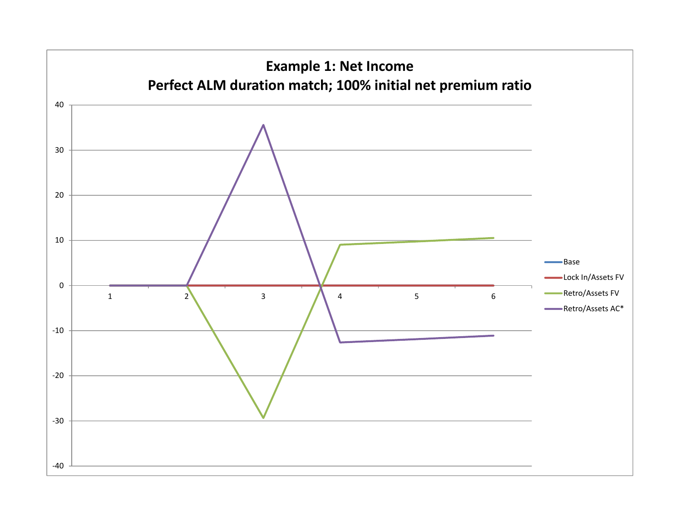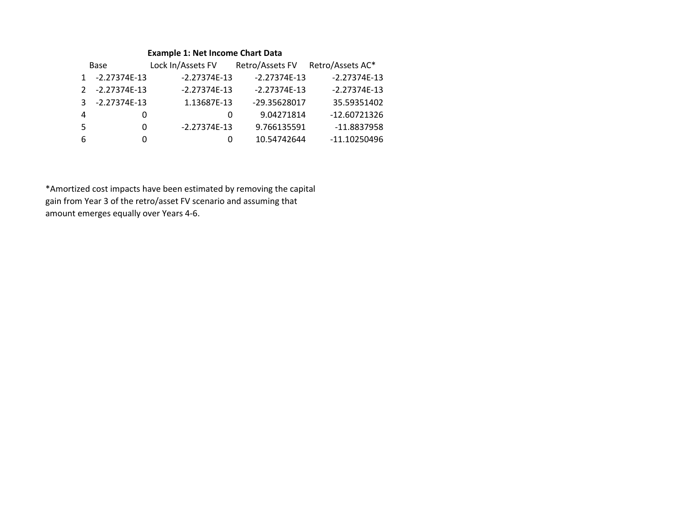### **Example 1: Net Income Chart Data**

|              | <b>Base</b>    | Lock In/Assets FV | Retro/Assets FV | Retro/Assets AC* |
|--------------|----------------|-------------------|-----------------|------------------|
| $\mathbf{1}$ | $-2.27374E-13$ | $-2.27374E-13$    | $-2.27374E-13$  | $-2.27374E-13$   |
|              | 2 -2.27374E-13 | $-2.27374E-13$    | $-2.27374E-13$  | $-2.27374E-13$   |
| 3            | $-2.27374E-13$ | 1.13687E-13       | -29.35628017    | 35.59351402      |
| 4            | $\cup$         | $\Omega$          | 9.04271814      | $-12.60721326$   |
| -5           | 0              | $-2.27374E-13$    | 9.766135591     | $-11.8837958$    |
| 6            | O              | $\Omega$          | 10.54742644     | $-11.10250496$   |

\*Amortized cost impacts have been estimated by removing the capital gain from Year 3 of the retro/asset FV scenario and assuming that amount emerges equally over Years 4‐6.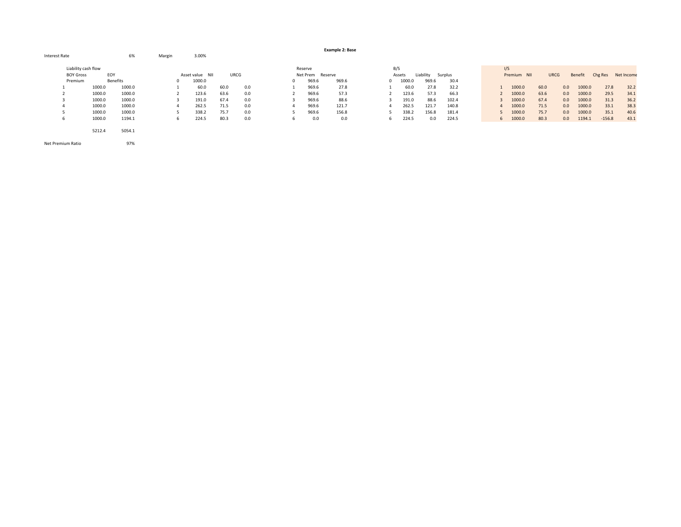|                     |        |                 |            |                 |      |      |   |                  | <b>Example 2: Base</b> |    |          |           |         |          |             |             |     |         |          |            |
|---------------------|--------|-----------------|------------|-----------------|------|------|---|------------------|------------------------|----|----------|-----------|---------|----------|-------------|-------------|-----|---------|----------|------------|
| Interest Rate       |        | 6%              | Margin     | 3.00%           |      |      |   |                  |                        |    |          |           |         |          |             |             |     |         |          |            |
| Liability cash flow |        |                 |            |                 |      |      |   | Reserve          |                        |    | B/S      |           |         |          | I/S         |             |     |         |          |            |
| <b>BOY Gross</b>    | EOY    |                 |            | Asset value NII |      | URCG |   | Net Prem Reserve |                        |    | Assets   | Liability | Surplus |          | Premium NII | <b>URCG</b> |     | Benefit | Chg Res  | Net Income |
| Premium             |        | <b>Benefits</b> | $^{\circ}$ | 1000.0          |      |      |   | 969.6            | 969.6                  |    | 0 1000.0 | 969.6     | 30.4    |          |             |             |     |         |          |            |
|                     | 1000.0 | 1000.0          |            | 60.0            | 60.0 | 0.0  |   | 969.6            | 27.8                   |    | 60.0     | 27.8      | 32.2    |          | 1000.0      | 60.0        | 0.0 | 1000.0  | 27.8     | 32.2       |
|                     | 1000.0 | 1000.0          |            | 123.6           | 63.6 | 0.0  |   | 969.6            | 57.3                   |    | 123.6    | 57.3      | 66.3    |          | 1000.0      | 63.6        | 0.0 | 1000.0  | 29.5     | 34.1       |
|                     | 1000.0 | 1000.0          |            | 191.0           | 67.4 | 0.0  |   | 969.6            | 88.6                   |    | 191.0    | 88.6      | 102.4   |          | 1000.0      | 67.4        | 0.0 | 1000.0  | 31.3     | 36.2       |
| 4                   | 1000.0 | 1000.0          |            | 262.5           | 71.5 | 0.0  | 4 | 969.6            | 121.7                  | 4  | 262.5    | 121.7     | 140.8   | $\Delta$ | 1000.0      | 71.5        | 0.0 | 1000.0  | 33.1     | 38.3       |
|                     | 1000.0 | 1000.0          |            | 338.2           | 75.7 | 0.0  |   | 969.6            | 156.8                  |    | 338.2    | 156.8     | 181.4   |          | 1000.0      | 75.7        | 0.0 | 1000.0  | 35.1     | 40.6       |
| ь                   | 1000.0 | 1194.1          | h          | 224.5           | 80.3 | 0.0  | 6 | 0.0              | 0.0                    | 6. | 224.5    | 0.0       | 224.5   |          | 6 1000.0    | 80.3        | 0.0 | 1194.1  | $-156.8$ | 43.1       |
|                     | 5212.4 | 5054.1          |            |                 |      |      |   |                  |                        |    |          |           |         |          |             |             |     |         |          |            |

Net PremiumRatio 97%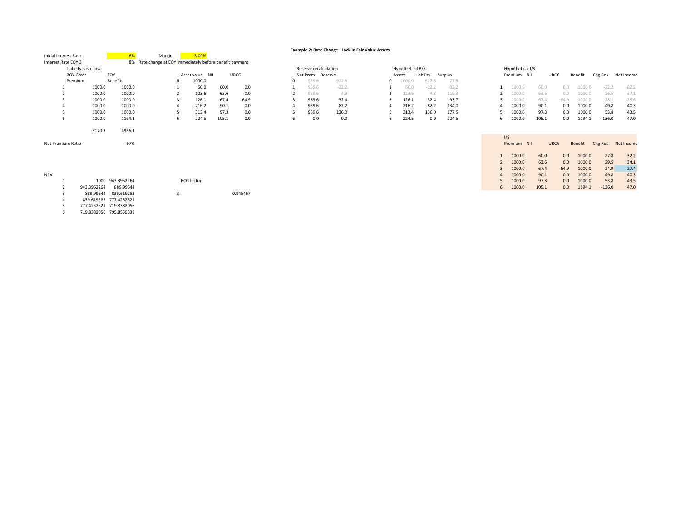|                       |                         |                  |                                                          |            |                 |       |          |   |                       | Example 2: Rate Change - Lock In Fair Value Assets |   |                  |           |         |   |     |                  |       |             |         |          |            |
|-----------------------|-------------------------|------------------|----------------------------------------------------------|------------|-----------------|-------|----------|---|-----------------------|----------------------------------------------------|---|------------------|-----------|---------|---|-----|------------------|-------|-------------|---------|----------|------------|
| Initial Interest Rate |                         | 6%               | Margin                                                   |            | 3.00%           |       |          |   |                       |                                                    |   |                  |           |         |   |     |                  |       |             |         |          |            |
| Interest Rate EOY 3   |                         |                  | 8% Rate change at EOY immediately before benefit payment |            |                 |       |          |   |                       |                                                    |   |                  |           |         |   |     |                  |       |             |         |          |            |
|                       | Liability cash flow     |                  |                                                          |            |                 |       |          |   | Reserve recalculation |                                                    |   | Hypothetical B/S |           |         |   |     | Hypothetical I/S |       |             |         |          |            |
| <b>BOY Gross</b>      |                         | EOY              |                                                          |            | Asset value NII |       | URCG     |   | Net Prem Reserve      |                                                    |   | Assets           | Liability | Surplus |   |     | Premium NII      |       | URCG        | Benefit | Chg Res  | Net Income |
| Premium               |                         | <b>Benefits</b>  |                                                          |            | 1000.0          |       |          |   | 969.6                 | 922.5                                              | 0 | 1000.0           | 922.5     | 77.5    |   |     |                  |       |             |         |          |            |
|                       | 1000.0                  | 1000.0           |                                                          |            | 60.0            | 60.0  | 0.0      |   | 969.6                 | $-22.2$                                            |   | 60.0             | $-22.2$   | 82.2    |   |     | 1000.0           | 60.0  | 0.0         | 1000.0  | $-22.2$  | 82.2       |
|                       | 1000.0                  | 1000.0           |                                                          |            | 123.6           | 63.6  | 0.0      |   | 969.6                 | 4.3                                                |   | 123.6            | 4.3       | 119.3   |   |     | 1000.0           | 63.6  | 0.0         | 1000.0  | 26.5     | 37.1       |
| 3                     | 1000.0                  | 1000.0           |                                                          |            | 126.1           | 67.4  | $-64.9$  |   | 969.6                 | 32.4                                               |   | 126.1            | 32.4      | 93.7    |   |     | 1000.0           | 67.4  | $-64.9$     | 1000.0  | 28.1     | $-25.6$    |
|                       | 1000.0                  | 1000.0           |                                                          |            | 216.2           | 90.1  | 0.0      |   | 969.6                 | 82.2                                               | Δ | 216.2            | 82.2      | 134.0   |   |     | 1000.0           | 90.1  | 0.0         | 1000.0  | 49.8     | 40.3       |
| 5                     | 1000.0                  | 1000.0           |                                                          |            | 313.4           | 97.3  | 0.0      |   | 969.6                 | 136.0                                              |   | 313.4            | 136.0     | 177.5   |   |     | 1000.0           | 97.3  | 0.0         | 1000.0  | 53.8     | 43.5       |
| 6                     | 1000.0                  | 1194.1           | 6                                                        |            | 224.5           | 105.1 | 0.0      | 6 | 0.0                   | 0.0                                                | 6 | 224.5            | 0.0       | 224.5   | 6 |     | 1000.0           | 105.1 | 0.0         | 1194.1  | $-136.0$ | 47.0       |
|                       | 5170.3                  | 4966.1           |                                                          |            |                 |       |          |   |                       |                                                    |   |                  |           |         |   | I/S |                  |       |             |         |          |            |
| Net Premium Ratio     |                         | 97%              |                                                          |            |                 |       |          |   |                       |                                                    |   |                  |           |         |   |     | Premium NII      |       | <b>URCG</b> | Benefit | Chg Res  | Net Income |
|                       |                         |                  |                                                          |            |                 |       |          |   |                       |                                                    |   |                  |           |         |   |     | 1000.0           | 60.0  | 0.0         | 1000.0  | 27.8     | 32.2       |
|                       |                         |                  |                                                          |            |                 |       |          |   |                       |                                                    |   |                  |           |         |   |     | 1000.0           | 63.6  | 0.0         | 1000.0  | 29.5     | 34.1       |
|                       |                         |                  |                                                          |            |                 |       |          |   |                       |                                                    |   |                  |           |         |   |     | 1000.0           | 67.4  | $-64.9$     | 1000.0  | $-24.9$  | 27.4       |
| <b>NPV</b>            |                         |                  |                                                          |            |                 |       |          |   |                       |                                                    |   |                  |           |         |   |     | 1000.0           | 90.1  | 0.0         | 1000.0  | 49.8     | 40.3       |
|                       |                         | 1000 943.3962264 |                                                          | RCG factor |                 |       |          |   |                       |                                                    |   |                  |           |         |   |     | 1000.0           | 97.3  | 0.0         | 1000.0  | 53.8     | 43.5       |
|                       | 943.3962264             | 889.99644        |                                                          |            |                 |       |          |   |                       |                                                    |   |                  |           |         | 6 |     | 1000.0           | 105.1 | 0.0         | 1194.1  | $-136.0$ | 47.0       |
| з                     | 889.99644               | 839.619283       | -3                                                       |            |                 |       | 0.945467 |   |                       |                                                    |   |                  |           |         |   |     |                  |       |             |         |          |            |
|                       | 839.619283              | 777.4252621      |                                                          |            |                 |       |          |   |                       |                                                    |   |                  |           |         |   |     |                  |       |             |         |          |            |
|                       | 777.4252621 719.8382056 |                  |                                                          |            |                 |       |          |   |                       |                                                    |   |                  |           |         |   |     |                  |       |             |         |          |            |
| 6                     | 719.8382056 795.8559838 |                  |                                                          |            |                 |       |          |   |                       |                                                    |   |                  |           |         |   |     |                  |       |             |         |          |            |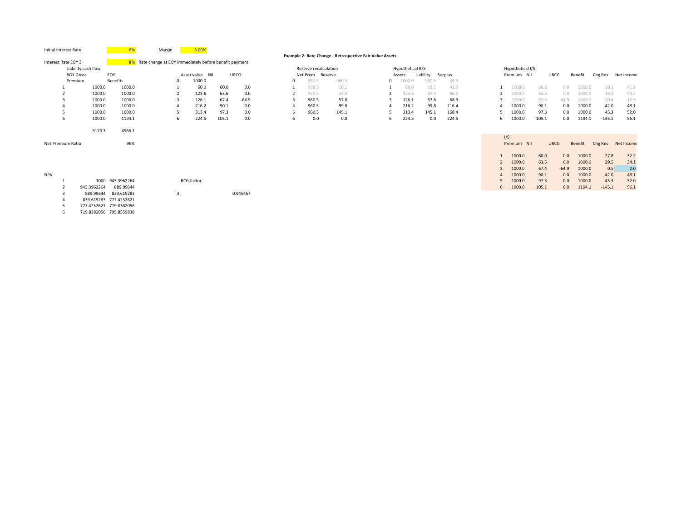| Initial Interest Rate |                     |                         | Margin                                                   | 3.00%             |       |          |          |                       |                                                          |                  |           |         |              |                  |       |             |         |          |            |
|-----------------------|---------------------|-------------------------|----------------------------------------------------------|-------------------|-------|----------|----------|-----------------------|----------------------------------------------------------|------------------|-----------|---------|--------------|------------------|-------|-------------|---------|----------|------------|
|                       |                     |                         |                                                          |                   |       |          |          |                       | Example 2: Rate Change - Retrospective Fair Value Assets |                  |           |         |              |                  |       |             |         |          |            |
| Interest Rate EOY 3   |                     |                         | 8% Rate change at EOY immediately before benefit payment |                   |       |          |          |                       |                                                          |                  |           |         |              |                  |       |             |         |          |            |
|                       | Liability cash flow |                         |                                                          |                   |       |          |          | Reserve recalculation |                                                          | Hypothetical B/S |           |         |              | Hypothetical I/S |       |             |         |          |            |
| <b>BOY Gross</b>      |                     | EOY                     |                                                          | Asset value NII   |       | URCG     |          | Net Prem Reserve      |                                                          | Assets           | Liability | Surplus |              | Premium NII      |       | URCG        | Benefit | Chg Res  | Net Income |
| Premium               |                     | <b>Benefits</b>         | $\Omega$                                                 | 1000.0            |       |          | $\Omega$ | 960.5                 | 960.5                                                    | 1000.0           | 960.5     | 39.5    |              |                  |       |             |         |          |            |
|                       | 1000.0              | 1000.0                  |                                                          | 60.0              | 60.0  | 0.0      |          | 960.5                 | 18.1                                                     | 60.0             | 18.1      | 41.9    | $\mathbf{1}$ | 1000.0           | 60.0  | 0.0         | 1000.0  | 18.1     | 41.9       |
|                       | 1000.0              | 1000.0                  |                                                          | 123.6             | 63.6  | 0.0      |          | 960.5                 | 37.4                                                     | 123.6            | 37.4      | 86.2    |              | 1000.0           | 63.6  | 0.0         | 1000.0  | 19.2     | 44.4       |
| 3                     | 1000.0              | 1000.0                  |                                                          | 126.1             | 67.4  | $-64.9$  |          | 960.5                 | 57.8                                                     | 126.1            | 57.8      | 68.3    |              | 1000.0           | 67.4  | $-64.9$     | 1000.0  | 20.4     | $-17.9$    |
|                       | 1000.0              | 1000.0                  |                                                          | 216.2             | 90.1  | 0.0      |          | 960.5                 | 99.8                                                     | 216.2            | 99.8      | 116.4   | Δ            | 1000.0           | 90.1  | 0.0         | 1000.0  | 42.0     | 48.1       |
|                       | 1000.0              | 1000.0                  |                                                          | 313.4             | 97.3  | 0.0      |          | 960.5                 | 145.1                                                    | 313.4            | 145.1     | 168.4   |              | 1000.0           | 97.3  | 0.0         | 1000.0  | 45.3     | 52.0       |
| 6                     | 1000.0              | 1194.1                  | 6                                                        | 224.5             | 105.1 | 0.0      | 6        | 0.0                   | 0.0                                                      | 224.5            | 0.0       | 224.5   | 6            | 1000.0           | 105.1 | 0.0         | 1194.1  | $-145.1$ | 56.1       |
|                       |                     |                         |                                                          |                   |       |          |          |                       |                                                          |                  |           |         |              |                  |       |             |         |          |            |
|                       | 5170.3              | 4966.1                  |                                                          |                   |       |          |          |                       |                                                          |                  |           |         |              |                  |       |             |         |          |            |
|                       |                     |                         |                                                          |                   |       |          |          |                       |                                                          |                  |           |         |              | I/S              |       |             |         |          |            |
| Net Premium Ratio     |                     | 96%                     |                                                          |                   |       |          |          |                       |                                                          |                  |           |         |              | Premium NII      |       | <b>URCG</b> | Benefit | Chg Res  | Net Income |
|                       |                     |                         |                                                          |                   |       |          |          |                       |                                                          |                  |           |         |              |                  |       |             |         |          |            |
|                       |                     |                         |                                                          |                   |       |          |          |                       |                                                          |                  |           |         |              | 1000.0           | 60.0  | 0.0         | 1000.0  | 27.8     | 32.2       |
|                       |                     |                         |                                                          |                   |       |          |          |                       |                                                          |                  |           |         |              | 1000.0           | 63.6  | 0.0         | 1000.0  | 29.5     | 34.1       |
|                       |                     |                         |                                                          |                   |       |          |          |                       |                                                          |                  |           |         | 3            | 1000.0           | 67.4  | $-64.9$     | 1000.0  | 0.5      | 2.0        |
| <b>NPV</b>            |                     |                         |                                                          |                   |       |          |          |                       |                                                          |                  |           |         | 4            | 1000.0           | 90.1  | 0.0         | 1000.0  | 42.0     | 48.1       |
|                       |                     | 1000 943.3962264        |                                                          | <b>RCG</b> factor |       |          |          |                       |                                                          |                  |           |         |              | 1000.0           | 97.3  | 0.0         | 1000.0  | 45.3     | 52.0       |
|                       | 943.3962264         | 889.99644               |                                                          |                   |       |          |          |                       |                                                          |                  |           |         | 6            | 1000.0           | 105.1 | 0.0         | 1194.1  | $-145.1$ | 56.1       |
|                       | 889.99644           | 839.619283              | 3                                                        |                   |       | 0.945467 |          |                       |                                                          |                  |           |         |              |                  |       |             |         |          |            |
|                       |                     | 839.619283 777.4252621  |                                                          |                   |       |          |          |                       |                                                          |                  |           |         |              |                  |       |             |         |          |            |
|                       |                     | 777.4252621 719.8382056 |                                                          |                   |       |          |          |                       |                                                          |                  |           |         |              |                  |       |             |         |          |            |

6 719.8382056 795.8559838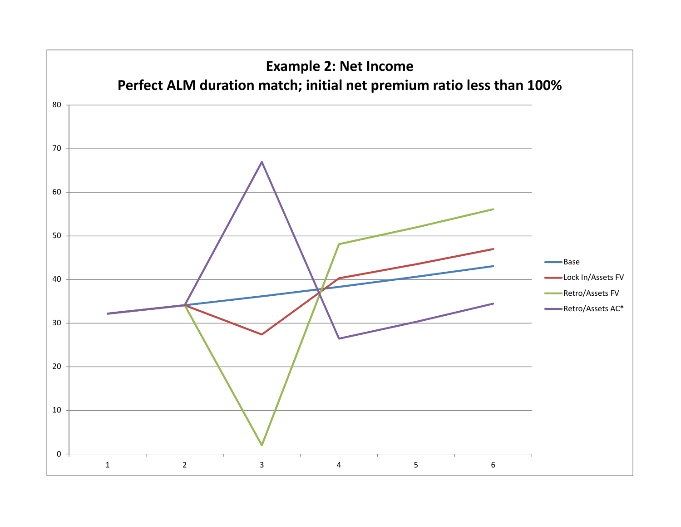